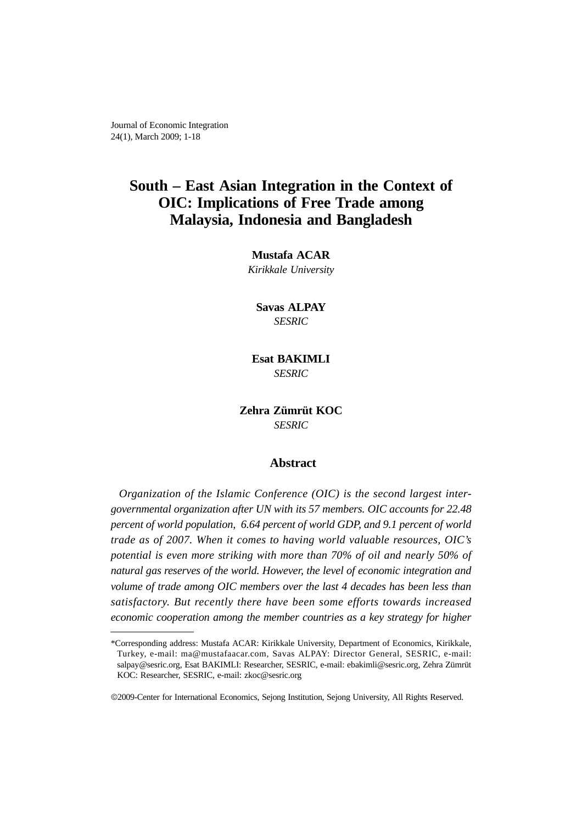Journal of Economic Integration 24(1), March 2009; 1-18

# **South – East Asian Integration in the Context of OIC: Implications of Free Trade among Malaysia, Indonesia and Bangladesh**

**Mustafa ACAR** *Kirikkale University*

**Savas ALPAY** *SESRIC*

**Esat BAKIMLI** *SESRIC*

**Zehra Zümrüt KOC** *SESRIC*

# **Abstract**

*Organization of the Islamic Conference (OIC) is the second largest intergovernmental organization after UN with its 57 members. OIC accounts for 22.48 percent of world population, 6.64 percent of world GDP, and 9.1 percent of world trade as of 2007. When it comes to having world valuable resources, OIC's potential is even more striking with more than 70% of oil and nearly 50% of natural gas reserves of the world. However, the level of economic integration and volume of trade among OIC members over the last 4 decades has been less than satisfactory. But recently there have been some efforts towards increased economic cooperation among the member countries as a key strategy for higher*

<sup>\*</sup>Corresponding address: Mustafa ACAR: Kirikkale University, Department of Economics, Kirikkale, Turkey, e-mail: ma@mustafaacar.com, Savas ALPAY: Director General, SESRIC, e-mail: salpay@sesric.org, Esat BAKIMLI: Researcher, SESRIC, e-mail: ebakimli@sesric.org, Zehra Zümrüt KOC: Researcher, SESRIC, e-mail: zkoc@sesric.org

<sup>©</sup>2009-Center for International Economics, Sejong Institution, Sejong University, All Rights Reserved.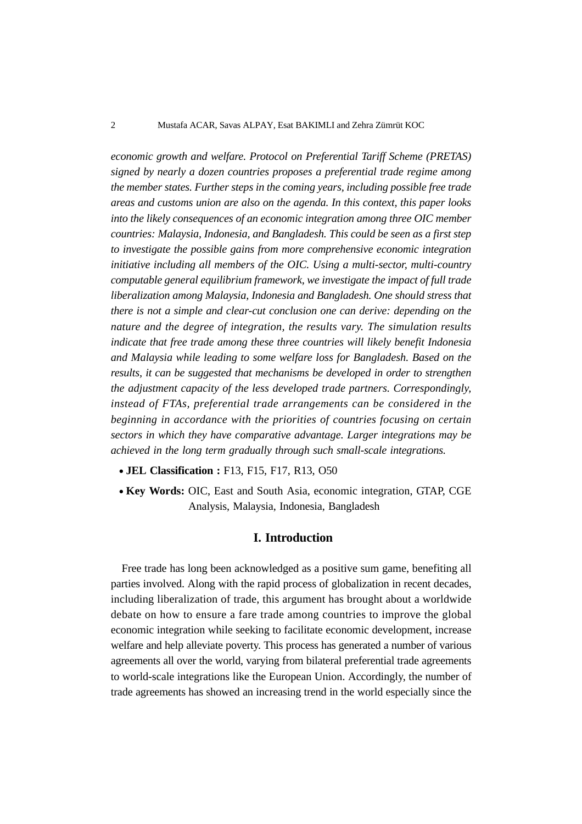*economic growth and welfare. Protocol on Preferential Tariff Scheme (PRETAS) signed by nearly a dozen countries proposes a preferential trade regime among the member states. Further steps in the coming years, including possible free trade areas and customs union are also on the agenda. In this context, this paper looks into the likely consequences of an economic integration among three OIC member countries: Malaysia, Indonesia, and Bangladesh. This could be seen as a first step to investigate the possible gains from more comprehensive economic integration initiative including all members of the OIC. Using a multi-sector, multi-country computable general equilibrium framework, we investigate the impact of full trade liberalization among Malaysia, Indonesia and Bangladesh. One should stress that there is not a simple and clear-cut conclusion one can derive: depending on the nature and the degree of integration, the results vary. The simulation results indicate that free trade among these three countries will likely benefit Indonesia and Malaysia while leading to some welfare loss for Bangladesh. Based on the results, it can be suggested that mechanisms be developed in order to strengthen the adjustment capacity of the less developed trade partners. Correspondingly, instead of FTAs, preferential trade arrangements can be considered in the beginning in accordance with the priorities of countries focusing on certain sectors in which they have comparative advantage. Larger integrations may be achieved in the long term gradually through such small-scale integrations.*

- **JEL Classification :** F13, F15, F17, R13, O50
- **Key Words:** OIC, East and South Asia, economic integration, GTAP, CGE Analysis, Malaysia, Indonesia, Bangladesh

#### **I. Introduction**

Free trade has long been acknowledged as a positive sum game, benefiting all parties involved. Along with the rapid process of globalization in recent decades, including liberalization of trade, this argument has brought about a worldwide debate on how to ensure a fare trade among countries to improve the global economic integration while seeking to facilitate economic development, increase welfare and help alleviate poverty. This process has generated a number of various agreements all over the world, varying from bilateral preferential trade agreements to world-scale integrations like the European Union. Accordingly, the number of trade agreements has showed an increasing trend in the world especially since the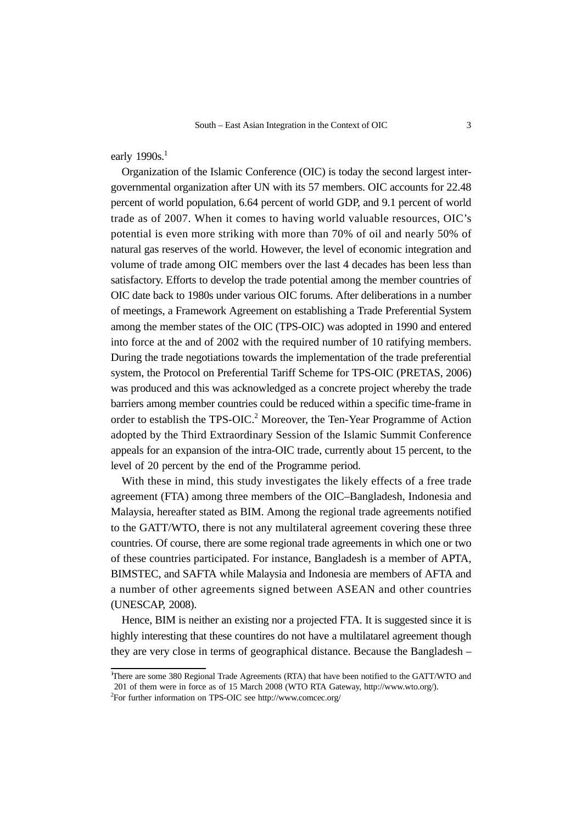early 1990s.<sup>1</sup>

Organization of the Islamic Conference (OIC) is today the second largest intergovernmental organization after UN with its 57 members. OIC accounts for 22.48 percent of world population, 6.64 percent of world GDP, and 9.1 percent of world trade as of 2007. When it comes to having world valuable resources, OIC's potential is even more striking with more than 70% of oil and nearly 50% of natural gas reserves of the world. However, the level of economic integration and volume of trade among OIC members over the last 4 decades has been less than satisfactory. Efforts to develop the trade potential among the member countries of OIC date back to 1980s under various OIC forums. After deliberations in a number of meetings, a Framework Agreement on establishing a Trade Preferential System among the member states of the OIC (TPS-OIC) was adopted in 1990 and entered into force at the and of 2002 with the required number of 10 ratifying members. During the trade negotiations towards the implementation of the trade preferential system, the Protocol on Preferential Tariff Scheme for TPS-OIC (PRETAS, 2006) was produced and this was acknowledged as a concrete project whereby the trade barriers among member countries could be reduced within a specific time-frame in order to establish the TPS-OIC.<sup>2</sup> Moreover, the Ten-Year Programme of Action adopted by the Third Extraordinary Session of the Islamic Summit Conference appeals for an expansion of the intra-OIC trade, currently about 15 percent, to the level of 20 percent by the end of the Programme period.

With these in mind, this study investigates the likely effects of a free trade agreement (FTA) among three members of the OIC–Bangladesh, Indonesia and Malaysia, hereafter stated as BIM. Among the regional trade agreements notified to the GATT/WTO, there is not any multilateral agreement covering these three countries. Of course, there are some regional trade agreements in which one or two of these countries participated. For instance, Bangladesh is a member of APTA, BIMSTEC, and SAFTA while Malaysia and Indonesia are members of AFTA and a number of other agreements signed between ASEAN and other countries (UNESCAP, 2008).

Hence, BIM is neither an existing nor a projected FTA. It is suggested since it is highly interesting that these countires do not have a multilatarel agreement though they are very close in terms of geographical distance. Because the Bangladesh –

<sup>1</sup> There are some 380 Regional Trade Agreements (RTA) that have been notified to the GATT/WTO and 201 of them were in force as of 15 March 2008 (WTO RTA Gateway, http://www.wto.org/). 2

For further information on TPS-OIC see http://www.comcec.org/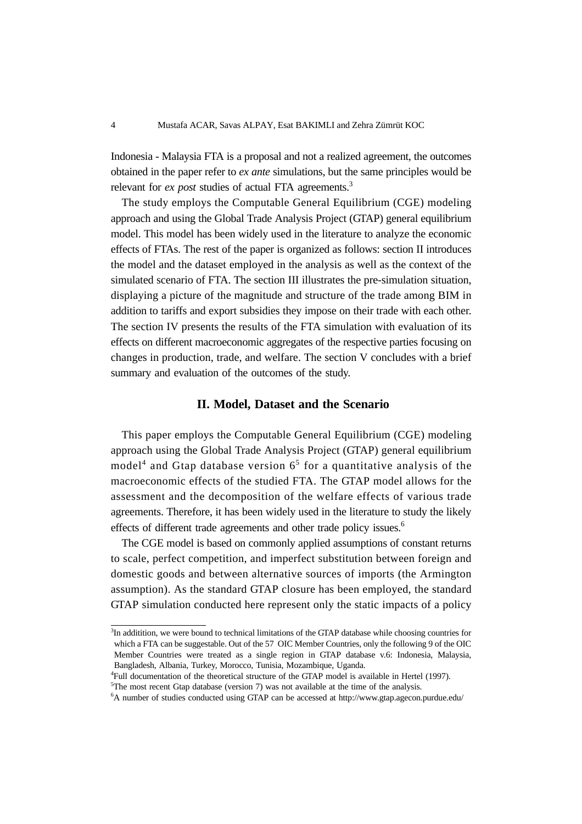Indonesia - Malaysia FTA is a proposal and not a realized agreement, the outcomes obtained in the paper refer to *ex ante* simulations, but the same principles would be relevant for *ex post* studies of actual FTA agreements.<sup>3</sup>

The study employs the Computable General Equilibrium (CGE) modeling approach and using the Global Trade Analysis Project (GTAP) general equilibrium model. This model has been widely used in the literature to analyze the economic effects of FTAs. The rest of the paper is organized as follows: section II introduces the model and the dataset employed in the analysis as well as the context of the simulated scenario of FTA. The section III illustrates the pre-simulation situation, displaying a picture of the magnitude and structure of the trade among BIM in addition to tariffs and export subsidies they impose on their trade with each other. The section IV presents the results of the FTA simulation with evaluation of its effects on different macroeconomic aggregates of the respective parties focusing on changes in production, trade, and welfare. The section V concludes with a brief summary and evaluation of the outcomes of the study.

# **II. Model, Dataset and the Scenario**

This paper employs the Computable General Equilibrium (CGE) modeling approach using the Global Trade Analysis Project (GTAP) general equilibrium model<sup>4</sup> and Gtap database version  $6<sup>5</sup>$  for a quantitative analysis of the macroeconomic effects of the studied FTA. The GTAP model allows for the assessment and the decomposition of the welfare effects of various trade agreements. Therefore, it has been widely used in the literature to study the likely effects of different trade agreements and other trade policy issues.<sup>6</sup>

The CGE model is based on commonly applied assumptions of constant returns to scale, perfect competition, and imperfect substitution between foreign and domestic goods and between alternative sources of imports (the Armington assumption). As the standard GTAP closure has been employed, the standard GTAP simulation conducted here represent only the static impacts of a policy

<sup>&</sup>lt;sup>3</sup>In additition, we were bound to technical limitations of the GTAP database while choosing countries for which a FTA can be suggestable. Out of the 57 OIC Member Countries, only the following 9 of the OIC Member Countries were treated as a single region in GTAP database v.6: Indonesia, Malaysia, Bangladesh, Albania, Turkey, Morocco, Tunisia, Mozambique, Uganda.

<sup>4</sup> Full documentation of the theoretical structure of the GTAP model is available in Hertel (1997).

<sup>&</sup>lt;sup>5</sup>The most recent Gtap database (version 7) was not available at the time of the analysis.

<sup>6</sup> A number of studies conducted using GTAP can be accessed at http://www.gtap.agecon.purdue.edu/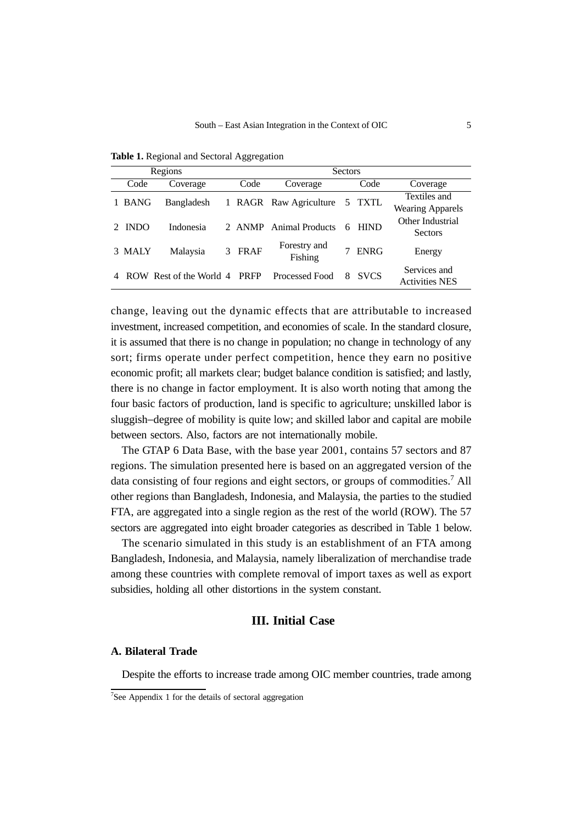|   |             | Regions                 | <b>Sectors</b> |             |                         |   |             |                                         |  |
|---|-------------|-------------------------|----------------|-------------|-------------------------|---|-------------|-----------------------------------------|--|
|   | Code        | Coverage                |                | Code        | Coverage                |   | Code        | Coverage                                |  |
|   | <b>BANG</b> | Bangladesh              | 1              |             | RAGR Raw Agriculture    |   | 5 TXTL      | Textiles and<br><b>Wearing Apparels</b> |  |
|   | <b>INDO</b> | Indonesia               |                | 2 ANMP      | Animal Products         | 6 | <b>HIND</b> | Other Industrial<br>Sectors             |  |
| 3 | <b>MALY</b> | Malaysia                | 3              | <b>FRAF</b> | Forestry and<br>Fishing |   | <b>ENRG</b> | Energy                                  |  |
|   |             | ROW Rest of the World 4 |                | <b>PRFP</b> | Processed Food          | 8 | <b>SVCS</b> | Services and<br><b>Activities NES</b>   |  |

**Table 1.** Regional and Sectoral Aggregation

change, leaving out the dynamic effects that are attributable to increased investment, increased competition, and economies of scale. In the standard closure, it is assumed that there is no change in population; no change in technology of any sort; firms operate under perfect competition, hence they earn no positive economic profit; all markets clear; budget balance condition is satisfied; and lastly, there is no change in factor employment. It is also worth noting that among the four basic factors of production, land is specific to agriculture; unskilled labor is sluggish−degree of mobility is quite low; and skilled labor and capital are mobile between sectors. Also, factors are not internationally mobile.

The GTAP 6 Data Base, with the base year 2001, contains 57 sectors and 87 regions. The simulation presented here is based on an aggregated version of the data consisting of four regions and eight sectors, or groups of commodities.<sup>7</sup> All other regions than Bangladesh, Indonesia, and Malaysia, the parties to the studied FTA, are aggregated into a single region as the rest of the world (ROW). The 57 sectors are aggregated into eight broader categories as described in Table 1 below.

The scenario simulated in this study is an establishment of an FTA among Bangladesh, Indonesia, and Malaysia, namely liberalization of merchandise trade among these countries with complete removal of import taxes as well as export subsidies, holding all other distortions in the system constant.

# **III. Initial Case**

## **A. Bilateral Trade**

Despite the efforts to increase trade among OIC member countries, trade among

<sup>&</sup>lt;sup>7</sup>See Appendix 1 for the details of sectoral aggregation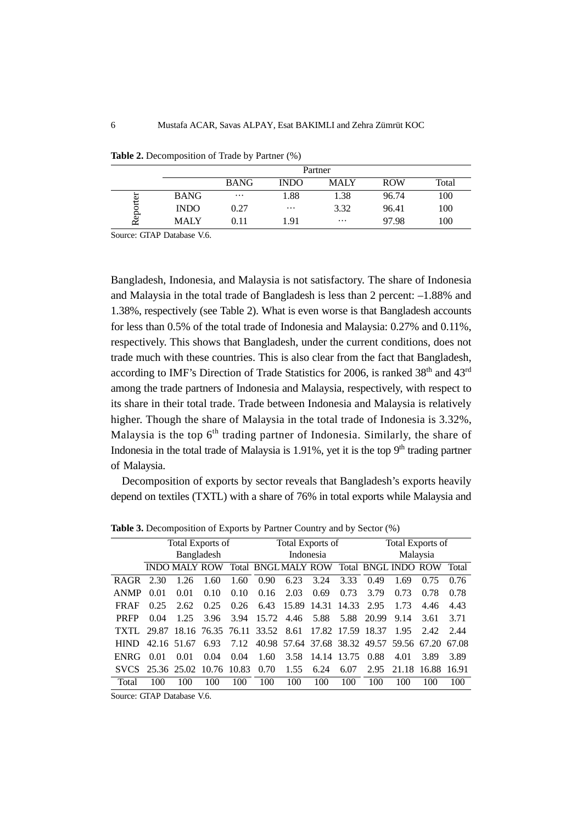|              |             | Partner     |             |          |            |       |  |  |  |
|--------------|-------------|-------------|-------------|----------|------------|-------|--|--|--|
|              |             | <b>BANG</b> | <b>INDO</b> | MALY     | <b>ROW</b> | Total |  |  |  |
| orter        | <b>BANG</b> | $\cdots$    | .88         | 1.38     | 96.74      | 100   |  |  |  |
|              | <b>INDO</b> | 0.27        | $\cdots$    | 3.32     | 96.41      | 100   |  |  |  |
| ę۶<br>$\sim$ | MALY        | 0.11        | 1.91        | $\cdots$ | 97.98      | 100   |  |  |  |

**Table 2.** Decomposition of Trade by Partner (%)

Source: GTAP Database V.6.

Bangladesh, Indonesia, and Malaysia is not satisfactory. The share of Indonesia and Malaysia in the total trade of Bangladesh is less than 2 percent: –1.88% and 1.38%, respectively (see Table 2). What is even worse is that Bangladesh accounts for less than 0.5% of the total trade of Indonesia and Malaysia: 0.27% and 0.11%, respectively. This shows that Bangladesh, under the current conditions, does not trade much with these countries. This is also clear from the fact that Bangladesh, according to IMF's Direction of Trade Statistics for 2006, is ranked  $38<sup>th</sup>$  and  $43<sup>rd</sup>$ among the trade partners of Indonesia and Malaysia, respectively, with respect to its share in their total trade. Trade between Indonesia and Malaysia is relatively higher. Though the share of Malaysia in the total trade of Indonesia is 3.32%, Malaysia is the top  $6<sup>th</sup>$  trading partner of Indonesia. Similarly, the share of Indonesia in the total trade of Malaysia is  $1.91\%$ , yet it is the top 9<sup>th</sup> trading partner of Malaysia.

Decomposition of exports by sector reveals that Bangladesh's exports heavily depend on textiles (TXTL) with a share of 76% in total exports while Malaysia and

|             | Total Exports of |                         |      |      | Total Exports of                               |                        |             |      | <b>Total Exports of</b> |                                           |        |       |
|-------------|------------------|-------------------------|------|------|------------------------------------------------|------------------------|-------------|------|-------------------------|-------------------------------------------|--------|-------|
|             | Bangladesh       |                         |      |      | Indonesia                                      |                        |             |      | Malaysia                |                                           |        |       |
|             |                  | <b>INDO MALY ROW</b>    |      |      | Total BNGLMALY ROW                             |                        |             |      |                         | <b>Total BNGL INDO ROW</b>                |        | Total |
| <b>RAGR</b> | 2.30             | 1.26                    | 1.60 | 1.60 | 0.90                                           | 6.23                   | 3.24        | 3.33 | 0.49                    | 1.69                                      | 0.75   | 0.76  |
| <b>ANMP</b> | 0.01             | 0.01                    | 0.10 | 0.10 | 0.16                                           | 2.03                   | 0.69        | 0.73 | 3.79                    | 0.73                                      | 0.78   | 0.78  |
| <b>FRAF</b> | 0.25             | 2.62                    | 0.25 | 0.26 |                                                | 6.43 15.89 14.31 14.33 |             |      | 2.95                    | 1.73                                      | 4.46   | 4.43  |
| <b>PRFP</b> | 0.04             | 1.25                    | 3.96 | 3.94 |                                                | 15.72 4.46 5.88        |             | 5.88 | 20.99                   | 9.14                                      | 3.61   | 3.71  |
| TXTL 29.87  |                  |                         |      |      | 18.16 76.35 76.11 33.52 8.61 17.82 17.59 18.37 |                        |             |      |                         | 1.95                                      | 2.42   | 2.44  |
| <b>HIND</b> |                  | 42.16 51.67             | 6.93 | 7.12 |                                                |                        |             |      |                         | 40.98 57.64 37.68 38.32 49.57 59.56 67.20 |        | 67.08 |
| <b>ENRG</b> | 0.01             | 0.01                    | 0.04 | 0.04 | 1.60                                           | 3.58                   | 14.14 13.75 |      | 0.88                    | 4.01                                      | 3.89   | 3.89  |
| SVCS.       |                  | 25.36 25.02 10.76 10.83 |      |      | 0.70                                           | 1.55                   | 6.24        | 6.07 | 2.95                    | 21.18                                     | -16.88 | 16.91 |
| Total       | 100              | 100                     | 100  | 100  | 100                                            | 100                    | 100         | 100  | 100                     | 100                                       | 100    | 100   |
|             |                  |                         |      |      |                                                |                        |             |      |                         |                                           |        |       |

**Table 3.** Decomposition of Exports by Partner Country and by Sector (%)

Source: GTAP Database V.6.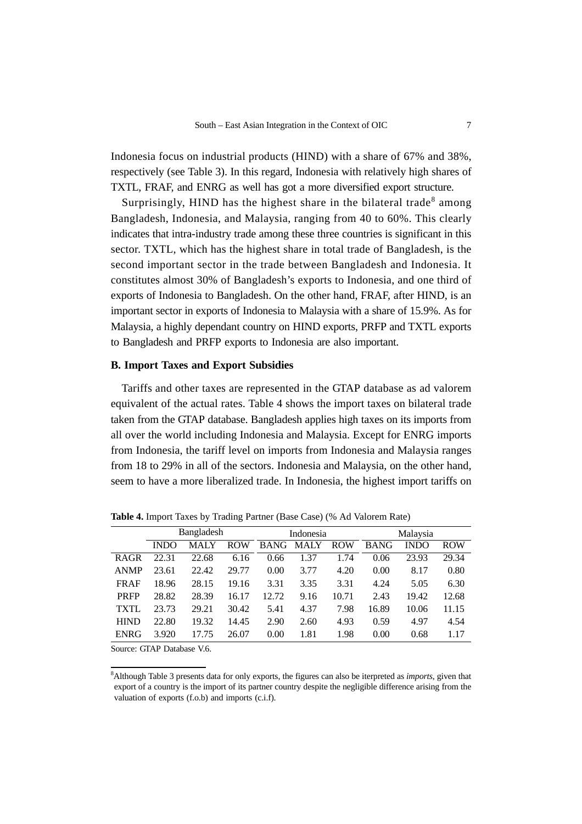Indonesia focus on industrial products (HIND) with a share of 67% and 38%, respectively (see Table 3). In this regard, Indonesia with relatively high shares of TXTL, FRAF, and ENRG as well has got a more diversified export structure.

Surprisingly, HIND has the highest share in the bilateral trade<sup>8</sup> among Bangladesh, Indonesia, and Malaysia, ranging from 40 to 60%. This clearly indicates that intra-industry trade among these three countries is significant in this sector. TXTL, which has the highest share in total trade of Bangladesh, is the second important sector in the trade between Bangladesh and Indonesia. It constitutes almost 30% of Bangladesh's exports to Indonesia, and one third of exports of Indonesia to Bangladesh. On the other hand, FRAF, after HIND, is an important sector in exports of Indonesia to Malaysia with a share of 15.9%. As for Malaysia, a highly dependant country on HIND exports, PRFP and TXTL exports to Bangladesh and PRFP exports to Indonesia are also important.

#### **B. Import Taxes and Export Subsidies**

Tariffs and other taxes are represented in the GTAP database as ad valorem equivalent of the actual rates. Table 4 shows the import taxes on bilateral trade taken from the GTAP database. Bangladesh applies high taxes on its imports from all over the world including Indonesia and Malaysia. Except for ENRG imports from Indonesia, the tariff level on imports from Indonesia and Malaysia ranges from 18 to 29% in all of the sectors. Indonesia and Malaysia, on the other hand, seem to have a more liberalized trade. In Indonesia, the highest import tariffs on

|             | Bangladesh  |       |            |             | Indonesia |            | Malaysia    |             |            |
|-------------|-------------|-------|------------|-------------|-----------|------------|-------------|-------------|------------|
|             | <b>INDO</b> | MALY  | <b>ROW</b> | <b>BANG</b> | MALY      | <b>ROW</b> | <b>BANG</b> | <b>INDO</b> | <b>ROW</b> |
| <b>RAGR</b> | 22.31       | 22.68 | 6.16       | 0.66        | 1.37      | 1.74       | 0.06        | 23.93       | 29.34      |
| <b>ANMP</b> | 23.61       | 22.42 | 29.77      | 0.00        | 3.77      | 4.20       | 0.00        | 8.17        | 0.80       |
| <b>FRAF</b> | 18.96       | 28.15 | 19.16      | 3.31        | 3.35      | 3.31       | 4.24        | 5.05        | 6.30       |
| <b>PRFP</b> | 28.82       | 28.39 | 16.17      | 12.72       | 9.16      | 10.71      | 2.43        | 19.42       | 12.68      |
| <b>TXTL</b> | 23.73       | 29.21 | 30.42      | 5.41        | 4.37      | 7.98       | 16.89       | 10.06       | 11.15      |
| <b>HIND</b> | 22.80       | 19.32 | 14.45      | 2.90        | 2.60      | 4.93       | 0.59        | 4.97        | 4.54       |
| <b>ENRG</b> | 3.920       | 17.75 | 26.07      | 0.00        | 1.81      | 1.98       | 0.00        | 0.68        | 1.17       |
|             |             |       |            |             |           |            |             |             |            |

**Table 4.** Import Taxes by Trading Partner (Base Case) (% Ad Valorem Rate)

Source: GTAP Database V.6.

<sup>8</sup> Although Table 3 presents data for only exports, the figures can also be iterpreted as *imports*, given that export of a country is the import of its partner country despite the negligible difference arising from the valuation of exports (f.o.b) and imports (c.i.f).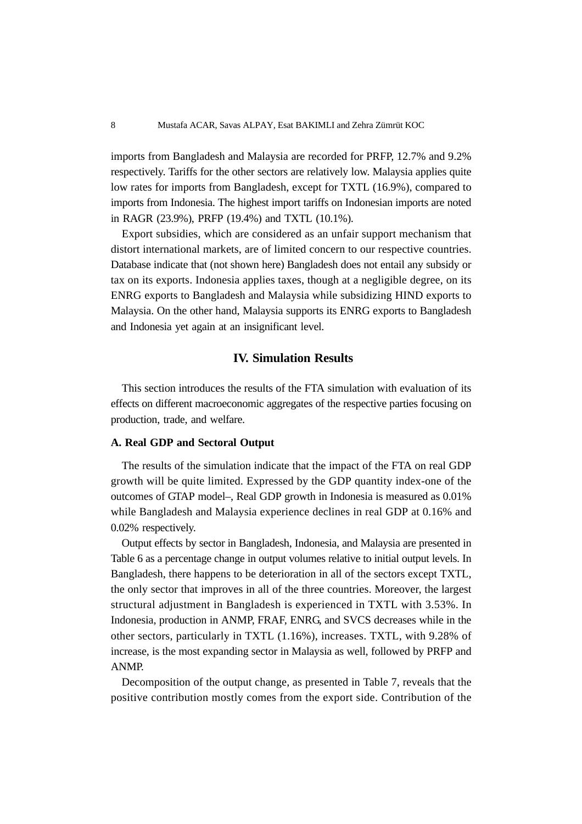imports from Bangladesh and Malaysia are recorded for PRFP, 12.7% and 9.2% respectively. Tariffs for the other sectors are relatively low. Malaysia applies quite low rates for imports from Bangladesh, except for TXTL (16.9%), compared to imports from Indonesia. The highest import tariffs on Indonesian imports are noted in RAGR (23.9%), PRFP (19.4%) and TXTL (10.1%).

Export subsidies, which are considered as an unfair support mechanism that distort international markets, are of limited concern to our respective countries. Database indicate that (not shown here) Bangladesh does not entail any subsidy or tax on its exports. Indonesia applies taxes, though at a negligible degree, on its ENRG exports to Bangladesh and Malaysia while subsidizing HIND exports to Malaysia. On the other hand, Malaysia supports its ENRG exports to Bangladesh and Indonesia yet again at an insignificant level.

# **IV. Simulation Results**

This section introduces the results of the FTA simulation with evaluation of its effects on different macroeconomic aggregates of the respective parties focusing on production, trade, and welfare.

#### **A. Real GDP and Sectoral Output**

The results of the simulation indicate that the impact of the FTA on real GDP growth will be quite limited. Expressed by the GDP quantity index-one of the outcomes of GTAP model–, Real GDP growth in Indonesia is measured as 0.01% while Bangladesh and Malaysia experience declines in real GDP at 0.16% and 0.02% respectively.

Output effects by sector in Bangladesh, Indonesia, and Malaysia are presented in Table 6 as a percentage change in output volumes relative to initial output levels. In Bangladesh, there happens to be deterioration in all of the sectors except TXTL, the only sector that improves in all of the three countries. Moreover, the largest structural adjustment in Bangladesh is experienced in TXTL with 3.53%. In Indonesia, production in ANMP, FRAF, ENRG, and SVCS decreases while in the other sectors, particularly in TXTL (1.16%), increases. TXTL, with 9.28% of increase, is the most expanding sector in Malaysia as well, followed by PRFP and ANMP.

Decomposition of the output change, as presented in Table 7, reveals that the positive contribution mostly comes from the export side. Contribution of the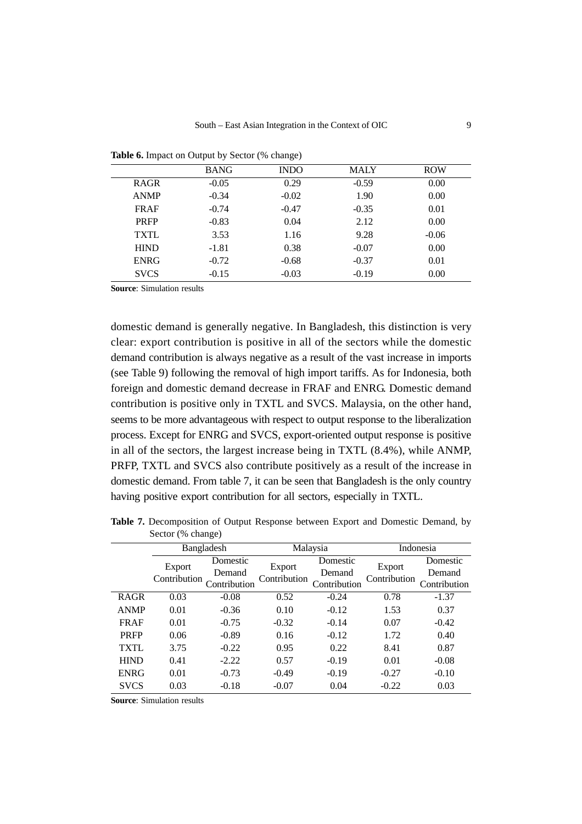|             | <b>BANG</b> | <b>INDO</b> | <b>MALY</b> | <b>ROW</b> |
|-------------|-------------|-------------|-------------|------------|
| <b>RAGR</b> | $-0.05$     | 0.29        | $-0.59$     | 0.00       |
| <b>ANMP</b> | $-0.34$     | $-0.02$     | 1.90        | 0.00       |
| <b>FRAF</b> | $-0.74$     | $-0.47$     | $-0.35$     | 0.01       |
| <b>PRFP</b> | $-0.83$     | 0.04        | 2.12        | 0.00       |
| <b>TXTL</b> | 3.53        | 1.16        | 9.28        | $-0.06$    |
| <b>HIND</b> | $-1.81$     | 0.38        | $-0.07$     | 0.00       |
| <b>ENRG</b> | $-0.72$     | $-0.68$     | $-0.37$     | 0.01       |
| <b>SVCS</b> | $-0.15$     | $-0.03$     | $-0.19$     | 0.00       |

Table 6. Impact on Output by Sector (% change)

domestic demand is generally negative. In Bangladesh, this distinction is very clear: export contribution is positive in all of the sectors while the domestic demand contribution is always negative as a result of the vast increase in imports (see Table 9) following the removal of high import tariffs. As for Indonesia, both foreign and domestic demand decrease in FRAF and ENRG. Domestic demand contribution is positive only in TXTL and SVCS. Malaysia, on the other hand, seems to be more advantageous with respect to output response to the liberalization process. Except for ENRG and SVCS, export-oriented output response is positive in all of the sectors, the largest increase being in TXTL (8.4%), while ANMP, PRFP, TXTL and SVCS also contribute positively as a result of the increase in domestic demand. From table 7, it can be seen that Bangladesh is the only country having positive export contribution for all sectors, especially in TXTL.

**Table 7.** Decomposition of Output Response between Export and Domestic Demand, by Sector (% change)

|             |                              | Bangladesh |                        | Malaysia     |                        | Indonesia    |
|-------------|------------------------------|------------|------------------------|--------------|------------------------|--------------|
|             | Export                       | Domestic   |                        | Domestic     |                        | Domestic     |
|             |                              | Demand     | Export<br>Contribution | Demand       | Export<br>Contribution | Demand       |
|             | Contribution<br>Contribution |            |                        | Contribution |                        | Contribution |
| <b>RAGR</b> | 0.03                         | $-0.08$    | 0.52                   | $-0.24$      | 0.78                   | $-1.37$      |
| <b>ANMP</b> | 0.01                         | $-0.36$    | 0.10                   | $-0.12$      | 1.53                   | 0.37         |
| <b>FRAF</b> | 0.01                         | $-0.75$    | $-0.32$                | $-0.14$      | 0.07                   | $-0.42$      |
| <b>PRFP</b> | 0.06                         | $-0.89$    | 0.16                   | $-0.12$      | 1.72                   | 0.40         |
| <b>TXTL</b> | 3.75                         | $-0.22$    | 0.95                   | 0.22         | 8.41                   | 0.87         |
| <b>HIND</b> | 0.41                         | $-2.22$    | 0.57                   | $-0.19$      | 0.01                   | $-0.08$      |
| <b>ENRG</b> | 0.01                         | $-0.73$    | $-0.49$                | $-0.19$      | $-0.27$                | $-0.10$      |
| <b>SVCS</b> | 0.03                         | $-0.18$    | $-0.07$                | 0.04         | $-0.22$                | 0.03         |
|             |                              |            |                        |              |                        |              |

**Source**: Simulation results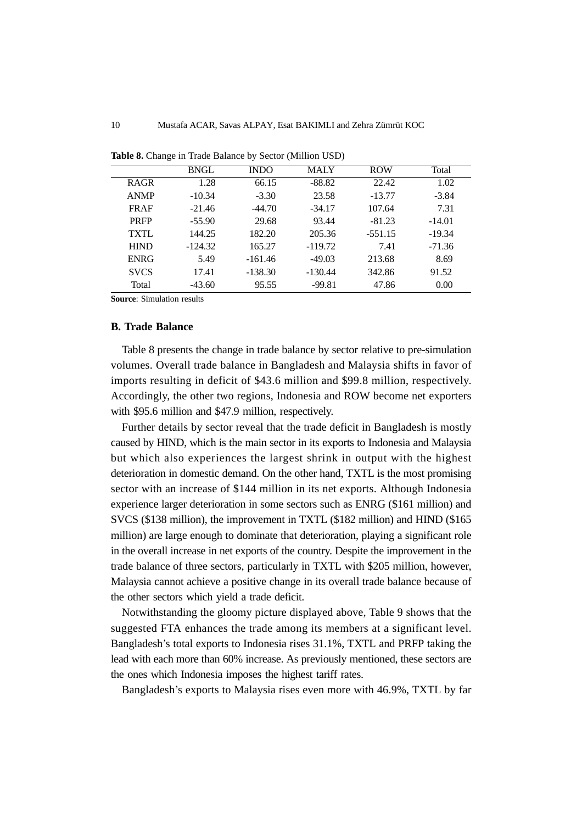|             | <b>BNGL</b> | <b>INDO</b> | <b>MALY</b> | <b>ROW</b> | Total    |
|-------------|-------------|-------------|-------------|------------|----------|
| <b>RAGR</b> | 1.28        | 66.15       | $-88.82$    | 22.42      | 1.02     |
| <b>ANMP</b> | $-10.34$    | $-3.30$     | 23.58       | $-13.77$   | $-3.84$  |
| <b>FRAF</b> | $-21.46$    | $-44.70$    | $-34.17$    | 107.64     | 7.31     |
| <b>PRFP</b> | $-55.90$    | 29.68       | 93.44       | $-81.23$   | $-14.01$ |
| <b>TXTL</b> | 144.25      | 182.20      | 205.36      | $-551.15$  | $-19.34$ |
| <b>HIND</b> | $-124.32$   | 165.27      | $-119.72$   | 7.41       | $-71.36$ |
| <b>ENRG</b> | 5.49        | $-161.46$   | $-49.03$    | 213.68     | 8.69     |
| <b>SVCS</b> | 17.41       | $-138.30$   | $-130.44$   | 342.86     | 91.52    |
| Total       | $-43.60$    | 95.55       | $-99.81$    | 47.86      | 0.00     |
|             |             |             |             |            |          |

**Table 8.** Change in Trade Balance by Sector (Million USD)

#### **B. Trade Balance**

Table 8 presents the change in trade balance by sector relative to pre-simulation volumes. Overall trade balance in Bangladesh and Malaysia shifts in favor of imports resulting in deficit of \$43.6 million and \$99.8 million, respectively. Accordingly, the other two regions, Indonesia and ROW become net exporters with \$95.6 million and \$47.9 million, respectively.

Further details by sector reveal that the trade deficit in Bangladesh is mostly caused by HIND, which is the main sector in its exports to Indonesia and Malaysia but which also experiences the largest shrink in output with the highest deterioration in domestic demand. On the other hand, TXTL is the most promising sector with an increase of \$144 million in its net exports. Although Indonesia experience larger deterioration in some sectors such as ENRG (\$161 million) and SVCS (\$138 million), the improvement in TXTL (\$182 million) and HIND (\$165 million) are large enough to dominate that deterioration, playing a significant role in the overall increase in net exports of the country. Despite the improvement in the trade balance of three sectors, particularly in TXTL with \$205 million, however, Malaysia cannot achieve a positive change in its overall trade balance because of the other sectors which yield a trade deficit.

Notwithstanding the gloomy picture displayed above, Table 9 shows that the suggested FTA enhances the trade among its members at a significant level. Bangladesh's total exports to Indonesia rises 31.1%, TXTL and PRFP taking the lead with each more than 60% increase. As previously mentioned, these sectors are the ones which Indonesia imposes the highest tariff rates.

Bangladesh's exports to Malaysia rises even more with 46.9%, TXTL by far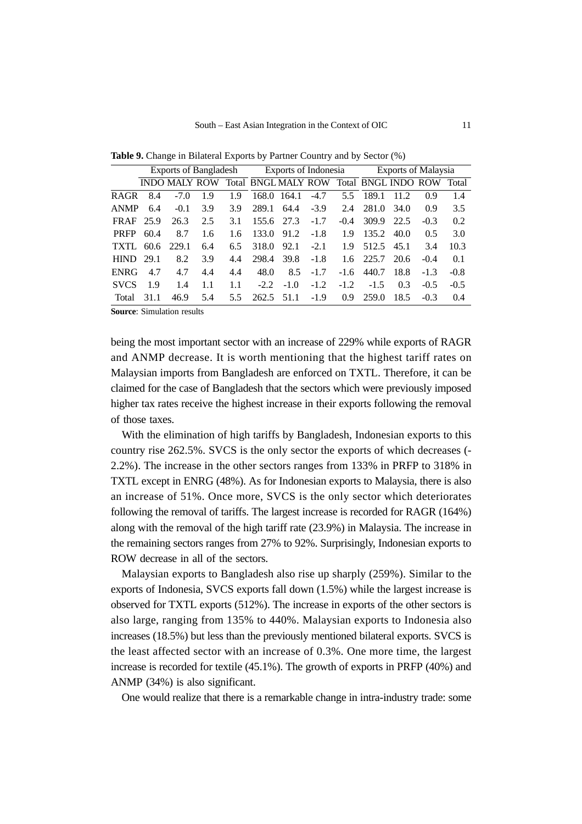|             | <b>Exports of Bangladesh</b> |                      |     |               | Exports of Indonesia      |        |        |        | Exports of Malaysia        |      |        |        |
|-------------|------------------------------|----------------------|-----|---------------|---------------------------|--------|--------|--------|----------------------------|------|--------|--------|
|             |                              | <b>INDO MALY ROW</b> |     |               | <b>Total BNGLMALY ROW</b> |        |        |        | <b>Total BNGL INDO ROW</b> |      |        | Total  |
| <b>RAGR</b> | 8.4                          | $-7.0$               | 1.9 | 1.9           | 168.0                     | 164.1  | $-4.7$ | 5.5    | 189.1                      | 11.2 | 0.9    | 1.4    |
| <b>ANMP</b> | 6.4                          | $-0.1$               | 3.9 | 3.9           | 289.1                     | 64.4   | $-3.9$ | 2.4    | 281.0                      | 34.0 | 0.9    | 3.5    |
| <b>FRAF</b> | 25.9                         | 26.3                 | 2.5 | 3.1           | 155.6                     | 27.3   | $-1.7$ | $-0.4$ | 309.9                      | 22.5 | $-0.3$ | 0.2    |
| <b>PRFP</b> | 60.4                         | 8.7                  | 1.6 | 1.6           | 133.0                     | 91.2   | $-1.8$ | 1.9    | 135.2                      | 40.0 | 0.5    | 3.0    |
| TXTL        | 60.6                         | 229.1                | 6.4 | 6.5           | 318.0                     | 92.1   | $-2.1$ | 1.9    | 512.5                      | 45.1 | 3.4    | 10.3   |
| <b>HIND</b> | 29.1                         | 8.2                  | 3.9 | 4.4           | 298.4                     | 39.8   | $-1.8$ | 1.6    | 225.7                      | 20.6 | $-0.4$ | 0.1    |
| <b>ENRG</b> | 4.7                          | 4.7                  | 4.4 | 4.4           | 48.0                      | 8.5    | $-1.7$ | $-1.6$ | 440.7                      | 18.8 | $-1.3$ | $-0.8$ |
| <b>SVCS</b> | 1.9                          | 1.4                  | 1.1 | 1.1           | $-2.2$                    | $-1.0$ | $-1.2$ | $-1.2$ | $-1.5$                     | 0.3  | $-0.5$ | $-0.5$ |
| Total       | 31.1                         | 46.9                 | 5.4 | $5.5^{\circ}$ | 262.5 51.1                |        | $-1.9$ | 0.9    | 259.0                      | 18.5 | $-0.3$ | 0.4    |

**Table 9.** Change in Bilateral Exports by Partner Country and by Sector (%)

being the most important sector with an increase of 229% while exports of RAGR and ANMP decrease. It is worth mentioning that the highest tariff rates on Malaysian imports from Bangladesh are enforced on TXTL. Therefore, it can be claimed for the case of Bangladesh that the sectors which were previously imposed higher tax rates receive the highest increase in their exports following the removal of those taxes.

With the elimination of high tariffs by Bangladesh, Indonesian exports to this country rise 262.5%. SVCS is the only sector the exports of which decreases (- 2.2%). The increase in the other sectors ranges from 133% in PRFP to 318% in TXTL except in ENRG (48%). As for Indonesian exports to Malaysia, there is also an increase of 51%. Once more, SVCS is the only sector which deteriorates following the removal of tariffs. The largest increase is recorded for RAGR (164%) along with the removal of the high tariff rate (23.9%) in Malaysia. The increase in the remaining sectors ranges from 27% to 92%. Surprisingly, Indonesian exports to ROW decrease in all of the sectors.

Malaysian exports to Bangladesh also rise up sharply (259%). Similar to the exports of Indonesia, SVCS exports fall down (1.5%) while the largest increase is observed for TXTL exports (512%). The increase in exports of the other sectors is also large, ranging from 135% to 440%. Malaysian exports to Indonesia also increases (18.5%) but less than the previously mentioned bilateral exports. SVCS is the least affected sector with an increase of 0.3%. One more time, the largest increase is recorded for textile (45.1%). The growth of exports in PRFP (40%) and ANMP (34%) is also significant.

One would realize that there is a remarkable change in intra-industry trade: some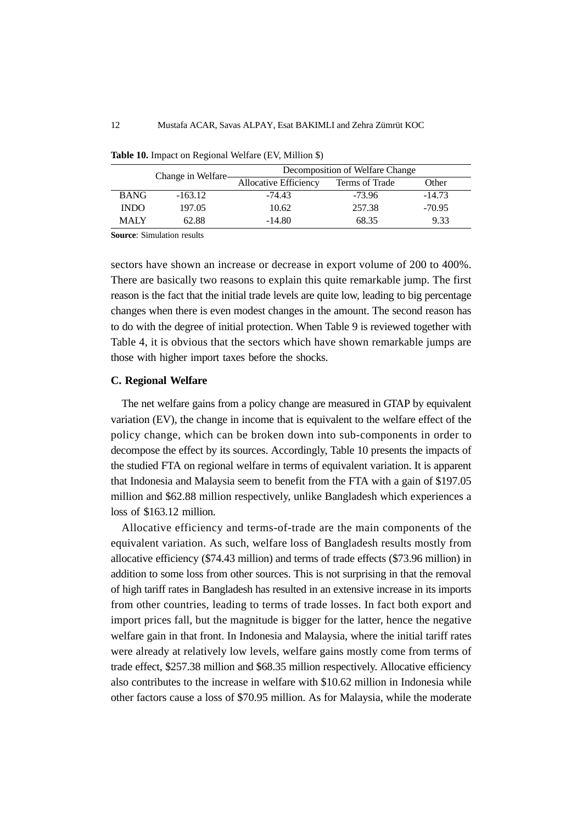|             | Change in Welfare- | Decomposition of Welfare Change |                |          |  |  |  |  |
|-------------|--------------------|---------------------------------|----------------|----------|--|--|--|--|
|             |                    | Allocative Efficiency           | Terms of Trade | Other    |  |  |  |  |
| <b>BANG</b> | $-163.12$          | $-74.43$                        | -73.96         | $-14.73$ |  |  |  |  |
| <b>INDO</b> | 197.05             | 10.62                           | 257.38         | $-70.95$ |  |  |  |  |
| <b>MALY</b> | 62.88              | $-14.80$                        | 68.35          | 9.33     |  |  |  |  |

**Table 10.** Impact on Regional Welfare (EV, Million \$)

sectors have shown an increase or decrease in export volume of 200 to 400%. There are basically two reasons to explain this quite remarkable jump. The first reason is the fact that the initial trade levels are quite low, leading to big percentage changes when there is even modest changes in the amount. The second reason has to do with the degree of initial protection. When Table 9 is reviewed together with Table 4, it is obvious that the sectors which have shown remarkable jumps are those with higher import taxes before the shocks.

#### **C. Regional Welfare**

The net welfare gains from a policy change are measured in GTAP by equivalent variation (EV), the change in income that is equivalent to the welfare effect of the policy change, which can be broken down into sub-components in order to decompose the effect by its sources. Accordingly, Table 10 presents the impacts of the studied FTA on regional welfare in terms of equivalent variation. It is apparent that Indonesia and Malaysia seem to benefit from the FTA with a gain of \$197.05 million and \$62.88 million respectively, unlike Bangladesh which experiences a loss of \$163.12 million.

Allocative efficiency and terms-of-trade are the main components of the equivalent variation. As such, welfare loss of Bangladesh results mostly from allocative efficiency (\$74.43 million) and terms of trade effects (\$73.96 million) in addition to some loss from other sources. This is not surprising in that the removal of high tariff rates in Bangladesh has resulted in an extensive increase in its imports from other countries, leading to terms of trade losses. In fact both export and import prices fall, but the magnitude is bigger for the latter, hence the negative welfare gain in that front. In Indonesia and Malaysia, where the initial tariff rates were already at relatively low levels, welfare gains mostly come from terms of trade effect, \$257.38 million and \$68.35 million respectively. Allocative efficiency also contributes to the increase in welfare with \$10.62 million in Indonesia while other factors cause a loss of \$70.95 million. As for Malaysia, while the moderate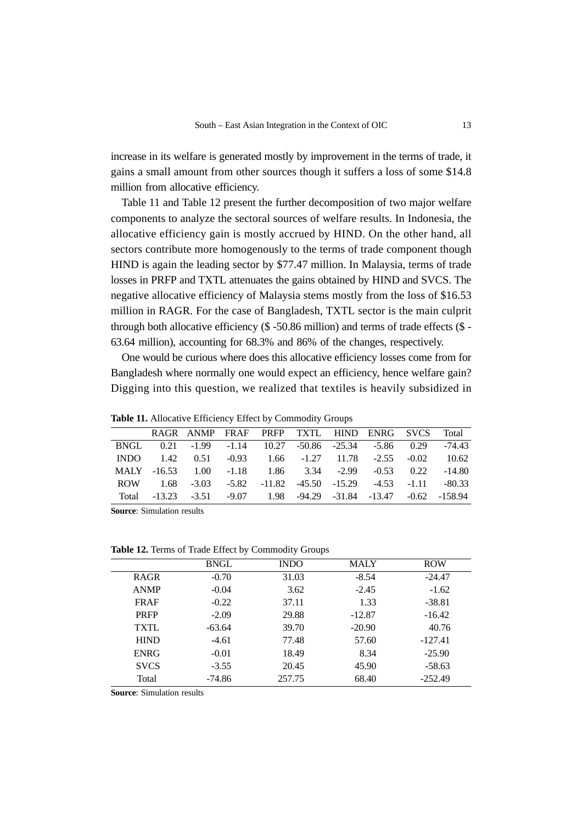increase in its welfare is generated mostly by improvement in the terms of trade, it gains a small amount from other sources though it suffers a loss of some \$14.8 million from allocative efficiency.

Table 11 and Table 12 present the further decomposition of two major welfare components to analyze the sectoral sources of welfare results. In Indonesia, the allocative efficiency gain is mostly accrued by HIND. On the other hand, all sectors contribute more homogenously to the terms of trade component though HIND is again the leading sector by \$77.47 million. In Malaysia, terms of trade losses in PRFP and TXTL attenuates the gains obtained by HIND and SVCS. The negative allocative efficiency of Malaysia stems mostly from the loss of \$16.53 million in RAGR. For the case of Bangladesh, TXTL sector is the main culprit through both allocative efficiency (\$ -50.86 million) and terms of trade effects (\$ - 63.64 million), accounting for 68.3% and 86% of the changes, respectively.

One would be curious where does this allocative efficiency losses come from for Bangladesh where normally one would expect an efficiency, hence welfare gain? Digging into this question, we realized that textiles is heavily subsidized in

|             | RAGR ANMP FRAF PRFP TXTL HIND ENRG SVCS Total                    |  |  |  |        |
|-------------|------------------------------------------------------------------|--|--|--|--------|
| <b>BNGL</b> | $0.21 -1.99 -1.14 -10.27 -50.86 -25.34 -5.86 -0.29 -74.43$       |  |  |  |        |
|             | INDO 1.42 0.51 -0.93 1.66 -1.27 11.78 -2.55 -0.02                |  |  |  | 10.62  |
|             | MALY -16.53 1.00 -1.18 1.86 3.34 -2.99 -0.53 0.22                |  |  |  | -14.80 |
|             | ROW 1.68 -3.03 -5.82 -11.82 -45.50 -15.29 -4.53 -1.11 -80.33     |  |  |  |        |
|             | Total -13.23 -3.51 -9.07 1.98 -94.29 -31.84 -13.47 -0.62 -158.94 |  |  |  |        |

**Table 11.** Allocative Efficiency Effect by Commodity Groups

**Source**: Simulation results

**Table 12.** Terms of Trade Effect by Commodity Groups

|             | <b>BNGL</b> | <b>INDO</b> | <b>MALY</b> | <b>ROW</b> |
|-------------|-------------|-------------|-------------|------------|
| <b>RAGR</b> | $-0.70$     | 31.03       | $-8.54$     | $-24.47$   |
| <b>ANMP</b> | $-0.04$     | 3.62        | $-2.45$     | $-1.62$    |
| <b>FRAF</b> | $-0.22$     | 37.11       | 1.33        | $-38.81$   |
| <b>PRFP</b> | $-2.09$     | 29.88       | $-12.87$    | $-16.42$   |
| <b>TXTL</b> | $-63.64$    | 39.70       | $-20.90$    | 40.76      |
| <b>HIND</b> | $-4.61$     | 77.48       | 57.60       | $-127.41$  |
| <b>ENRG</b> | $-0.01$     | 18.49       | 8.34        | $-25.90$   |
| <b>SVCS</b> | $-3.55$     | 20.45       | 45.90       | $-58.63$   |
| Total       | $-74.86$    | 257.75      | 68.40       | $-252.49$  |
|             |             |             |             |            |

**Source**: Simulation results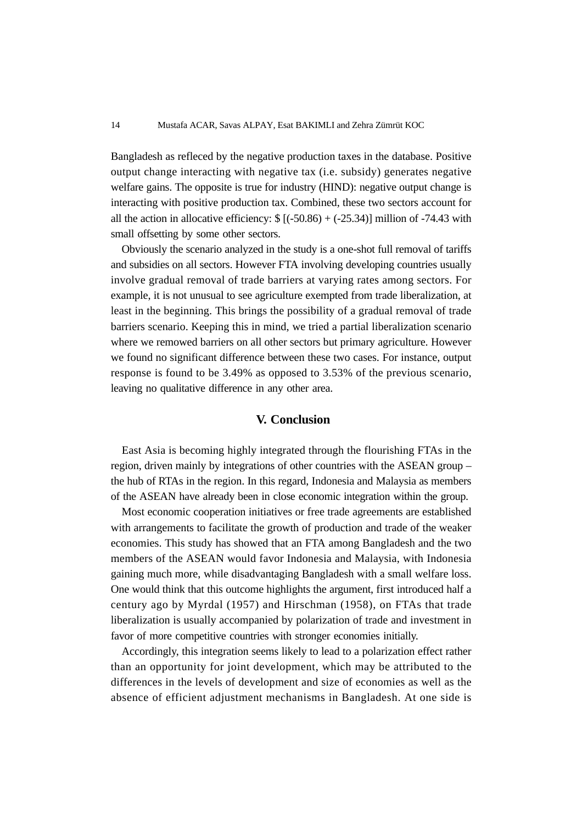Bangladesh as refleced by the negative production taxes in the database. Positive output change interacting with negative tax (i.e. subsidy) generates negative welfare gains. The opposite is true for industry (HIND): negative output change is interacting with positive production tax. Combined, these two sectors account for all the action in allocative efficiency:  $\{(50.86) + (-25.34)$ ] million of -74.43 with small offsetting by some other sectors.

Obviously the scenario analyzed in the study is a one-shot full removal of tariffs and subsidies on all sectors. However FTA involving developing countries usually involve gradual removal of trade barriers at varying rates among sectors. For example, it is not unusual to see agriculture exempted from trade liberalization, at least in the beginning. This brings the possibility of a gradual removal of trade barriers scenario. Keeping this in mind, we tried a partial liberalization scenario where we remowed barriers on all other sectors but primary agriculture. However we found no significant difference between these two cases. For instance, output response is found to be 3.49% as opposed to 3.53% of the previous scenario, leaving no qualitative difference in any other area.

### **V. Conclusion**

East Asia is becoming highly integrated through the flourishing FTAs in the region, driven mainly by integrations of other countries with the ASEAN group – the hub of RTAs in the region. In this regard, Indonesia and Malaysia as members of the ASEAN have already been in close economic integration within the group.

Most economic cooperation initiatives or free trade agreements are established with arrangements to facilitate the growth of production and trade of the weaker economies. This study has showed that an FTA among Bangladesh and the two members of the ASEAN would favor Indonesia and Malaysia, with Indonesia gaining much more, while disadvantaging Bangladesh with a small welfare loss. One would think that this outcome highlights the argument, first introduced half a century ago by Myrdal (1957) and Hirschman (1958), on FTAs that trade liberalization is usually accompanied by polarization of trade and investment in favor of more competitive countries with stronger economies initially.

Accordingly, this integration seems likely to lead to a polarization effect rather than an opportunity for joint development, which may be attributed to the differences in the levels of development and size of economies as well as the absence of efficient adjustment mechanisms in Bangladesh. At one side is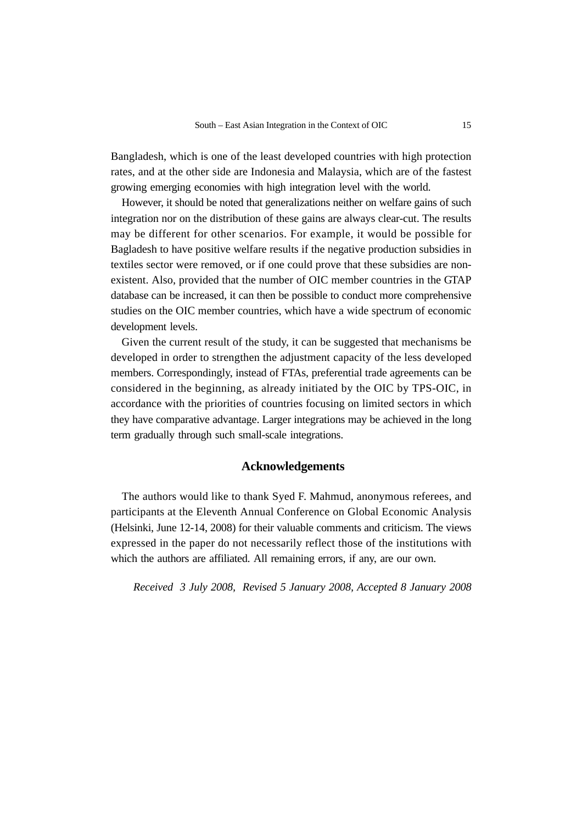Bangladesh, which is one of the least developed countries with high protection rates, and at the other side are Indonesia and Malaysia, which are of the fastest growing emerging economies with high integration level with the world.

However, it should be noted that generalizations neither on welfare gains of such integration nor on the distribution of these gains are always clear-cut. The results may be different for other scenarios. For example, it would be possible for Bagladesh to have positive welfare results if the negative production subsidies in textiles sector were removed, or if one could prove that these subsidies are nonexistent. Also, provided that the number of OIC member countries in the GTAP database can be increased, it can then be possible to conduct more comprehensive studies on the OIC member countries, which have a wide spectrum of economic development levels.

Given the current result of the study, it can be suggested that mechanisms be developed in order to strengthen the adjustment capacity of the less developed members. Correspondingly, instead of FTAs, preferential trade agreements can be considered in the beginning, as already initiated by the OIC by TPS-OIC, in accordance with the priorities of countries focusing on limited sectors in which they have comparative advantage. Larger integrations may be achieved in the long term gradually through such small-scale integrations.

#### **Acknowledgements**

The authors would like to thank Syed F. Mahmud, anonymous referees, and participants at the Eleventh Annual Conference on Global Economic Analysis (Helsinki, June 12-14, 2008) for their valuable comments and criticism. The views expressed in the paper do not necessarily reflect those of the institutions with which the authors are affiliated. All remaining errors, if any, are our own.

*Received 3 July 2008, Revised 5 January 2008, Accepted 8 January 2008*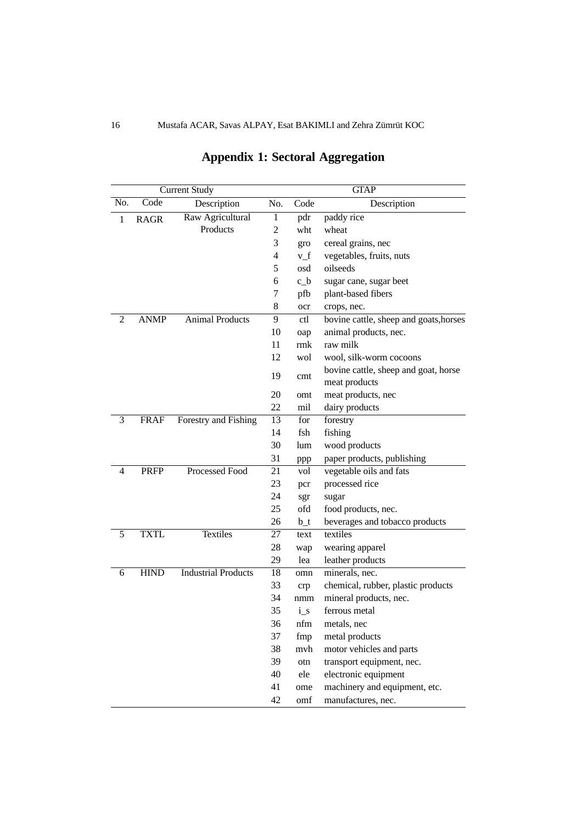|     |             | <b>Current Study</b>       |     |       | <b>GTAP</b>                                           |
|-----|-------------|----------------------------|-----|-------|-------------------------------------------------------|
| No. | Code        | Description                | No. | Code  | Description                                           |
| 1   | RAGR        | Raw Agricultural           | 1   | pdr   | paddy rice                                            |
|     |             | Products                   | 2   | wht   | wheat                                                 |
|     |             |                            | 3   | gro   | cereal grains, nec                                    |
|     |             |                            | 4   | $v_f$ | vegetables, fruits, nuts                              |
|     |             |                            | 5   | osd   | oilseeds                                              |
|     |             |                            | 6   | $c_b$ | sugar cane, sugar beet                                |
|     |             |                            | 7   | pfb   | plant-based fibers                                    |
|     |             |                            | 8   | ocr   | crops, nec.                                           |
| 2   | <b>ANMP</b> | <b>Animal Products</b>     | 9   | ctl   | bovine cattle, sheep and goats, horses                |
|     |             |                            | 10  | oap   | animal products, nec.                                 |
|     |             |                            | 11  | rmk   | raw milk                                              |
|     |             |                            | 12  | wol   | wool, silk-worm cocoons                               |
|     |             |                            | 19  | cmt   | bovine cattle, sheep and goat, horse<br>meat products |
|     |             |                            | 20  | omt   | meat products, nec                                    |
|     |             |                            | 22  | mil   | dairy products                                        |
| 3   | <b>FRAF</b> | Forestry and Fishing       | 13  | for   | forestry                                              |
|     |             |                            | 14  | fsh   | fishing                                               |
|     |             |                            | 30  | lum   | wood products                                         |
|     |             |                            | 31  | ppp   | paper products, publishing                            |
| 4   | <b>PRFP</b> | Processed Food             | 21  | vol   | vegetable oils and fats                               |
|     |             |                            | 23  | pcr   | processed rice                                        |
|     |             |                            | 24  | sgr   | sugar                                                 |
|     |             |                            | 25  | ofd   | food products, nec.                                   |
|     |             |                            | 26  | $b_t$ | beverages and tobacco products                        |
| 5   | <b>TXTL</b> | <b>Textiles</b>            | 27  | text  | textiles                                              |
|     |             |                            | 28  | wap   | wearing apparel                                       |
|     |             |                            | 29  | lea   | leather products                                      |
| 6   | <b>HIND</b> | <b>Industrial Products</b> | 18  | omn   | minerals, nec.                                        |
|     |             |                            | 33  | crp   | chemical, rubber, plastic products                    |
|     |             |                            | 34  | nmm   | mineral products, nec.                                |
|     |             |                            | 35  | i s   | ferrous metal                                         |
|     |             |                            | 36  | nfm   | metals, nec                                           |
|     |             |                            | 37  | fmp   | metal products                                        |
|     |             |                            | 38  | mvh   | motor vehicles and parts                              |
|     |             |                            | 39  | otn   | transport equipment, nec.                             |
|     |             |                            | 40  | ele   | electronic equipment                                  |
|     |             |                            | 41  | ome   | machinery and equipment, etc.                         |
|     |             |                            | 42  | omf   | manufactures, nec.                                    |

# **Appendix 1: Sectoral Aggregation**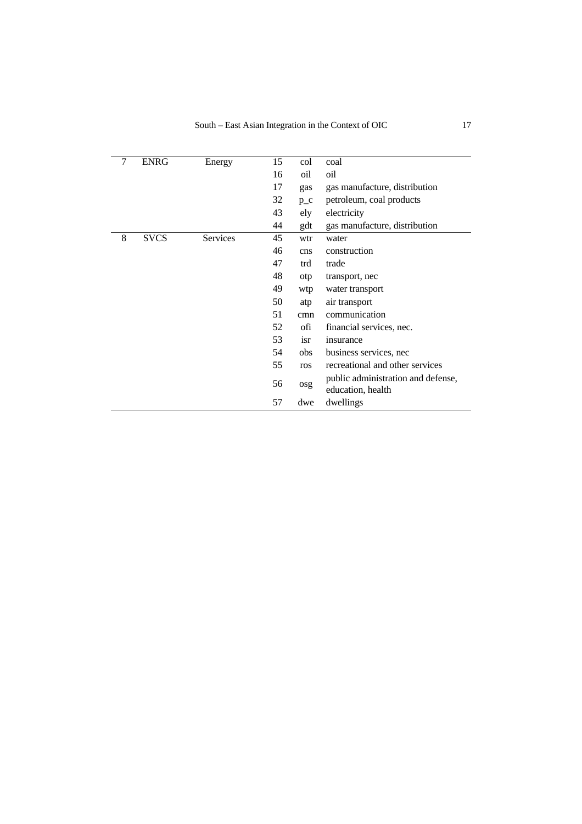| 7 | <b>ENRG</b> | Energy   | 15 | col     | coal                                                    |
|---|-------------|----------|----|---------|---------------------------------------------------------|
|   |             |          | 16 | oil     | oil                                                     |
|   |             |          | 17 | gas     | gas manufacture, distribution                           |
|   |             |          | 32 | $p_{c}$ | petroleum, coal products                                |
|   |             |          | 43 | ely     | electricity                                             |
|   |             |          | 44 | gdt     | gas manufacture, distribution                           |
| 8 | <b>SVCS</b> | Services | 45 | wtr     | water                                                   |
|   |             |          | 46 | cns     | construction                                            |
|   |             |          | 47 | trd     | trade                                                   |
|   |             |          | 48 | otp     | transport, nec                                          |
|   |             |          | 49 | wtp     | water transport                                         |
|   |             |          | 50 | atp     | air transport                                           |
|   |             |          | 51 | cmn     | communication                                           |
|   |             |          | 52 | ofi     | financial services, nec.                                |
|   |             |          | 53 | isr     | insurance                                               |
|   |             |          | 54 | obs     | business services, nec                                  |
|   |             |          | 55 | ros     | recreational and other services                         |
|   |             |          | 56 | osg     | public administration and defense,<br>education, health |
|   |             |          | 57 | dwe     | dwellings                                               |